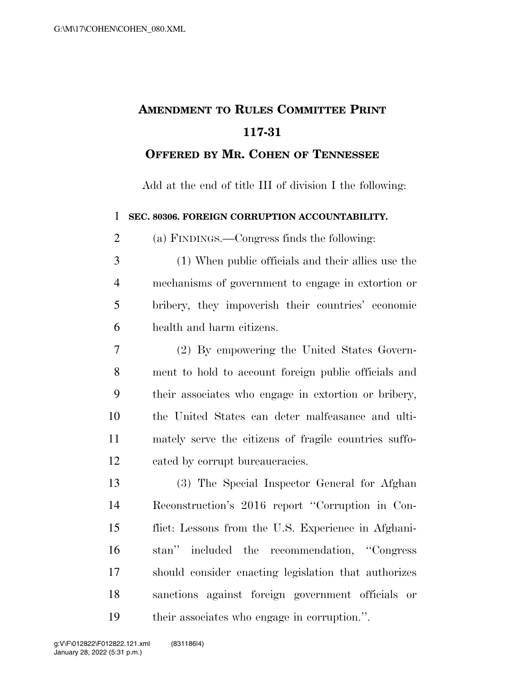## **AMENDMENT TO RULES COMMITTEE PRINT 117-31**

## **OFFERED BY MR. COHEN OF TENNESSEE**

Add at the end of title III of division I the following:

**SEC. 80306. FOREIGN CORRUPTION ACCOUNTABILITY.** 

(a) FINDINGS.—Congress finds the following:

- (1) When public officials and their allies use the mechanisms of government to engage in extortion or bribery, they impoverish their countries' economic health and harm citizens.
- (2) By empowering the United States Govern- ment to hold to account foreign public officials and their associates who engage in extortion or bribery, the United States can deter malfeasance and ulti- mately serve the citizens of fragile countries suffo-cated by corrupt bureaucracies.

 (3) The Special Inspector General for Afghan Reconstruction's 2016 report ''Corruption in Con- flict: Lessons from the U.S. Experience in Afghani- stan'' included the recommendation, ''Congress should consider enacting legislation that authorizes sanctions against foreign government officials or their associates who engage in corruption.''.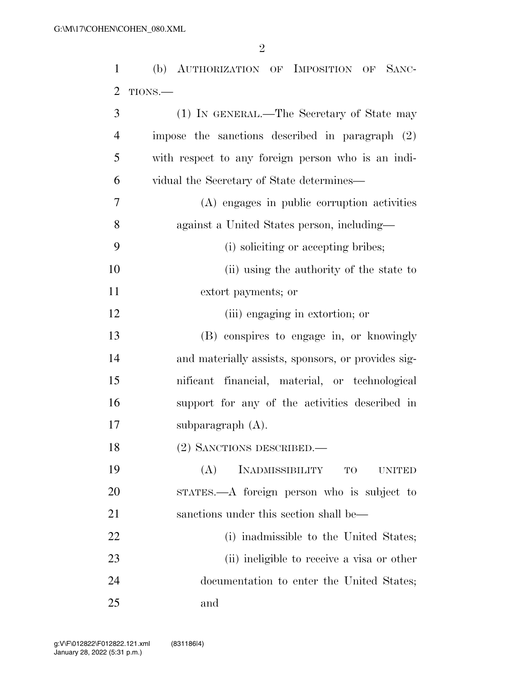(b) AUTHORIZATION OF IMPOSITION OF SANC-

| $\overline{2}$ | TIONS.                                               |
|----------------|------------------------------------------------------|
| 3              | (1) IN GENERAL.—The Secretary of State may           |
| $\overline{4}$ | impose the sanctions described in paragraph (2)      |
| 5              | with respect to any foreign person who is an indi-   |
| 6              | vidual the Secretary of State determines—            |
| 7              | (A) engages in public corruption activities          |
| 8              | against a United States person, including—           |
| 9              | (i) soliciting or accepting bribes;                  |
| 10             | (ii) using the authority of the state to             |
| 11             | extort payments; or                                  |
| 12             | (iii) engaging in extortion; or                      |
| 13             | (B) conspires to engage in, or knowingly             |
| 14             | and materially assists, sponsors, or provides sig-   |
| 15             | nificant financial, material, or technological       |
| 16             | support for any of the activities described in       |
| 17             | subparagraph $(A)$ .                                 |
| 18             | (2) SANCTIONS DESCRIBED.                             |
| 19             | (A)<br><b>INADMISSIBILITY</b><br>TO<br><b>UNITED</b> |
| 20             | STATES.—A foreign person who is subject to           |
| 21             | sanctions under this section shall be—               |
| 22             | (i) inadmissible to the United States;               |
| 23             | (ii) ineligible to receive a visa or other           |
| 24             | documentation to enter the United States;            |
| 25             | and                                                  |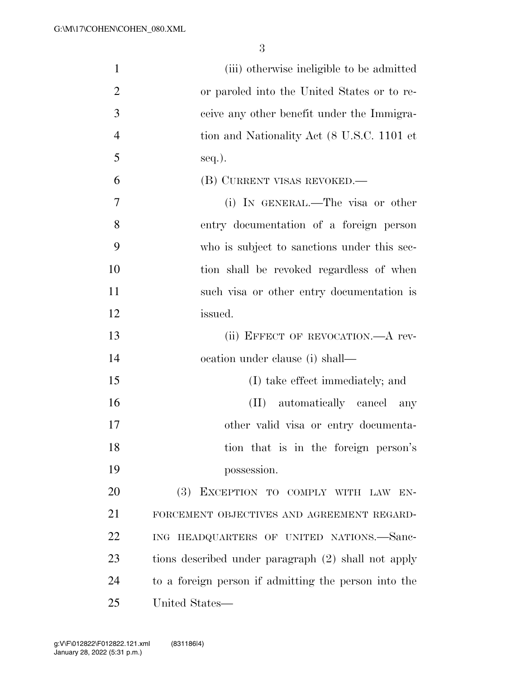| $\mathbf{1}$   | (iii) otherwise ineligible to be admitted            |
|----------------|------------------------------------------------------|
| $\overline{2}$ | or paroled into the United States or to re-          |
| 3              | ceive any other benefit under the Immigra-           |
| $\overline{4}$ | tion and Nationality Act (8 U.S.C. 1101 et           |
| 5              | seq.).                                               |
| 6              | (B) CURRENT VISAS REVOKED.—                          |
| 7              | (i) IN GENERAL.—The visa or other                    |
| 8              | entry documentation of a foreign person              |
| 9              | who is subject to sanctions under this sec-          |
| 10             | tion shall be revoked regardless of when             |
| 11             | such visa or other entry documentation is            |
| 12             | issued.                                              |
| 13             | (ii) EFFECT OF REVOCATION.—A rev-                    |
| 14             | ocation under clause (i) shall—                      |
| 15             | (I) take effect immediately; and                     |
| 16             | (II) automatically cancel<br>any                     |
| 17             | other valid visa or entry documenta-                 |
| 18             | tion that is in the foreign person's                 |
| 19             | possession.                                          |
| 20             | (3) EXCEPTION TO COMPLY WITH LAW EN-                 |
| 21             | FORCEMENT OBJECTIVES AND AGREEMENT REGARD-           |
| 22             | ING HEADQUARTERS OF UNITED NATIONS.-Sanc-            |
| 23             | tions described under paragraph (2) shall not apply  |
| 24             | to a foreign person if admitting the person into the |
| 25             | United States—                                       |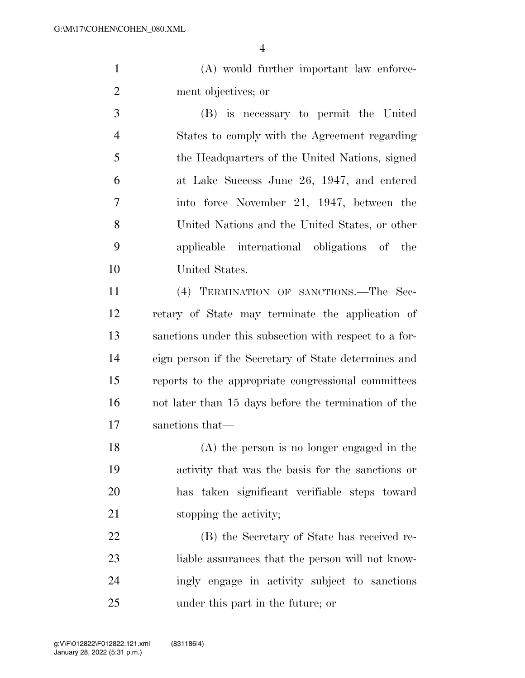(A) would further important law enforce-ment objectives; or

 (B) is necessary to permit the United States to comply with the Agreement regarding the Headquarters of the United Nations, signed at Lake Success June 26, 1947, and entered into force November 21, 1947, between the United Nations and the United States, or other applicable international obligations of the United States.

 (4) TERMINATION OF SANCTIONS.—The Sec- retary of State may terminate the application of sanctions under this subsection with respect to a for- eign person if the Secretary of State determines and reports to the appropriate congressional committees not later than 15 days before the termination of the sanctions that—

 (A) the person is no longer engaged in the activity that was the basis for the sanctions or has taken significant verifiable steps toward 21 stopping the activity;

 (B) the Secretary of State has received re- liable assurances that the person will not know- ingly engage in activity subject to sanctions under this part in the future; or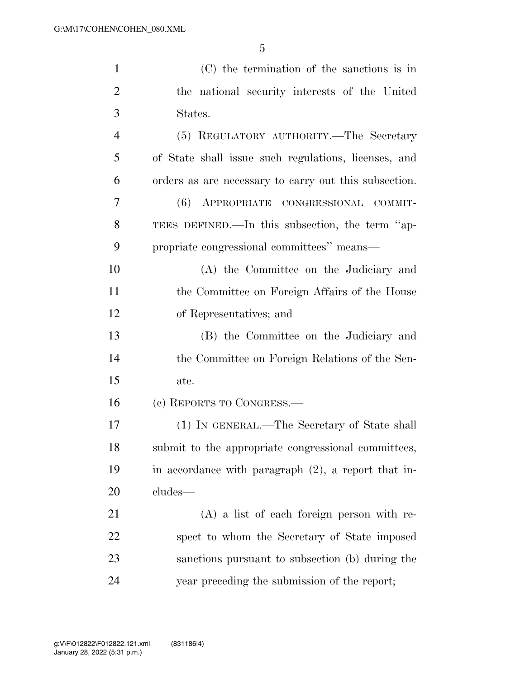| $\mathbf{1}$   | (C) the termination of the sanctions is in             |
|----------------|--------------------------------------------------------|
| $\overline{2}$ | the national security interests of the United          |
| 3              | States.                                                |
| $\overline{4}$ | (5) REGULATORY AUTHORITY.—The Secretary                |
| 5              | of State shall issue such regulations, licenses, and   |
| 6              | orders as are necessary to carry out this subsection.  |
| 7              | (6) APPROPRIATE CONGRESSIONAL COMMIT-                  |
| 8              | TEES DEFINED.—In this subsection, the term "ap-        |
| 9              | propriate congressional committees" means—             |
| 10             | (A) the Committee on the Judiciary and                 |
| 11             | the Committee on Foreign Affairs of the House          |
| 12             | of Representatives; and                                |
| 13             | (B) the Committee on the Judiciary and                 |
| 14             | the Committee on Foreign Relations of the Sen-         |
| 15             | ate.                                                   |
| 16             | (c) REPORTS TO CONGRESS.-                              |
| 17             | (1) IN GENERAL.—The Secretary of State shall           |
| 18             | submit to the appropriate congressional committees,    |
| 19             | in accordance with paragraph $(2)$ , a report that in- |
| 20             | cludes—                                                |
| 21             | $(A)$ a list of each foreign person with re-           |
| 22             | spect to whom the Secretary of State imposed           |
| 23             | sanctions pursuant to subsection (b) during the        |
| 24             | year preceding the submission of the report;           |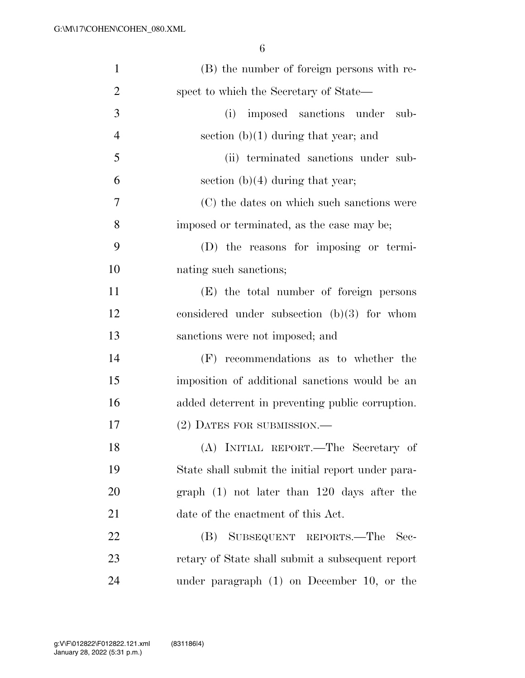| $\mathbf{1}$   | (B) the number of foreign persons with re-        |
|----------------|---------------------------------------------------|
| $\overline{2}$ | spect to which the Secretary of State—            |
| 3              | (i)<br>imposed sanctions under<br>sub-            |
| $\overline{4}$ | section $(b)(1)$ during that year; and            |
| 5              | (ii) terminated sanctions under sub-              |
| 6              | section $(b)(4)$ during that year;                |
| 7              | (C) the dates on which such sanctions were        |
| 8              | imposed or terminated, as the case may be;        |
| 9              | (D) the reasons for imposing or termi-            |
| 10             | nating such sanctions;                            |
| 11             | (E) the total number of foreign persons           |
| 12             | considered under subsection $(b)(3)$ for whom     |
| 13             | sanctions were not imposed; and                   |
| 14             | (F) recommendations as to whether the             |
| 15             | imposition of additional sanctions would be an    |
| 16             | added deterrent in preventing public corruption.  |
| 17             | (2) DATES FOR SUBMISSION.—                        |
| 18             | (A) INITIAL REPORT.—The Secretary of              |
| 19             | State shall submit the initial report under para- |
| 20             | graph $(1)$ not later than 120 days after the     |
| 21             | date of the enactment of this Act.                |
| 22             | SUBSEQUENT REPORTS.—The<br>(B)<br>Sec-            |
| 23             | retary of State shall submit a subsequent report  |
| 24             | under paragraph $(1)$ on December 10, or the      |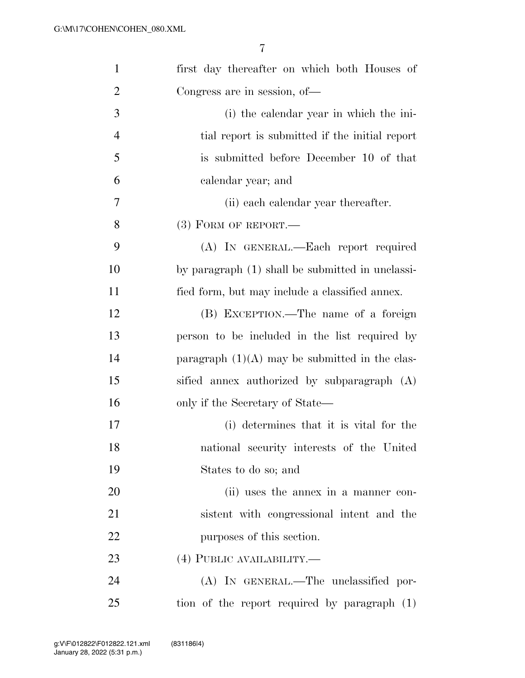| $\mathbf{1}$   | first day thereafter on which both Houses of     |
|----------------|--------------------------------------------------|
| $\overline{2}$ | Congress are in session, of-                     |
| 3              | (i) the calendar year in which the ini-          |
| $\overline{4}$ | tial report is submitted if the initial report   |
| 5              | is submitted before December 10 of that          |
| 6              | calendar year; and                               |
| 7              | (ii) each calendar year thereafter.              |
| 8              | $(3)$ FORM OF REPORT.—                           |
| 9              | (A) IN GENERAL.—Each report required             |
| 10             | by paragraph (1) shall be submitted in unclassi- |
| 11             | fied form, but may include a classified annex.   |
| 12             | (B) EXCEPTION.—The name of a foreign             |
| 13             | person to be included in the list required by    |
| 14             | paragraph $(1)(A)$ may be submitted in the clas- |
| 15             | sified annex authorized by subparagraph (A)      |
| 16             | only if the Secretary of State—                  |
| 17             | (i) determines that it is vital for the          |
| 18             | national security interests of the United        |
| 19             | States to do so; and                             |
| 20             | (ii) uses the annex in a manner con-             |
| 21             | sistent with congressional intent and the        |
| 22             | purposes of this section.                        |
| 23             | (4) PUBLIC AVAILABILITY.—                        |
| 24             | (A) IN GENERAL.—The unclassified por-            |
| 25             | tion of the report required by paragraph (1)     |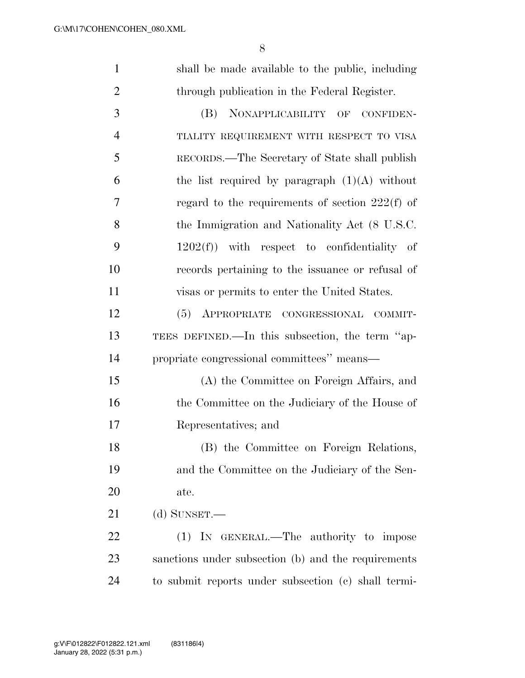| $\mathbf{1}$   | shall be made available to the public, including    |
|----------------|-----------------------------------------------------|
| $\overline{2}$ | through publication in the Federal Register.        |
| 3              | (B)<br>NONAPPLICABILITY OF<br>CONFIDEN-             |
| $\overline{4}$ | TIALITY REQUIREMENT WITH RESPECT TO VISA            |
| 5              | RECORDS.—The Secretary of State shall publish       |
| 6              | the list required by paragraph $(1)(A)$ without     |
| 7              | regard to the requirements of section $222(f)$ of   |
| 8              | the Immigration and Nationality Act (8 U.S.C.       |
| 9              | $1202(f)$ with respect to confidentiality of        |
| 10             | records pertaining to the issuance or refusal of    |
| 11             | visas or permits to enter the United States.        |
| 12             | (5) APPROPRIATE CONGRESSIONAL COMMIT-               |
| 13             | TEES DEFINED.—In this subsection, the term "ap-     |
| 14             | propriate congressional committees" means-          |
| 15             | (A) the Committee on Foreign Affairs, and           |
| 16             | the Committee on the Judiciary of the House of      |
| 17             | Representatives; and                                |
| 18             | (B) the Committee on Foreign Relations,             |
| 19             | and the Committee on the Judiciary of the Sen-      |
| 20             | ate.                                                |
| 21             | (d) SUNSET.—                                        |
| 22             | (1) IN GENERAL.—The authority to impose             |
| 23             | sanctions under subsection (b) and the requirements |
| 24             | to submit reports under subsection (c) shall termi- |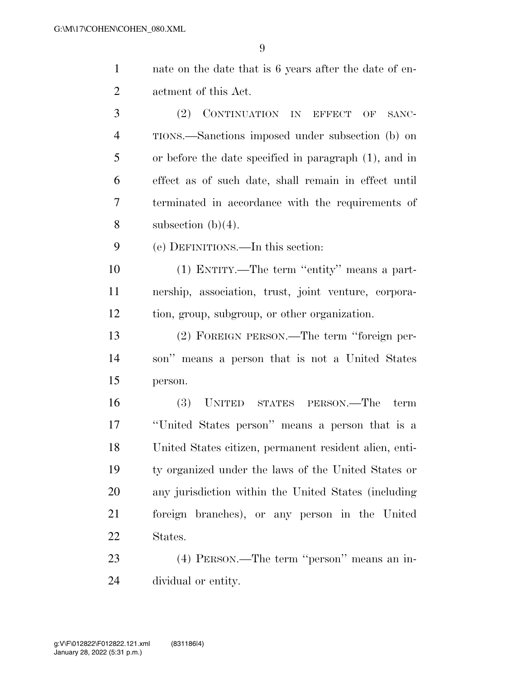nate on the date that is 6 years after the date of en-actment of this Act.

 (2) CONTINUATION IN EFFECT OF SANC- TIONS.—Sanctions imposed under subsection (b) on or before the date specified in paragraph (1), and in effect as of such date, shall remain in effect until terminated in accordance with the requirements of 8 subsection  $(b)(4)$ .

(e) DEFINITIONS.—In this section:

 (1) ENTITY.—The term ''entity'' means a part- nership, association, trust, joint venture, corpora-tion, group, subgroup, or other organization.

 (2) FOREIGN PERSON.—The term ''foreign per- son'' means a person that is not a United States person.

 (3) UNITED STATES PERSON.—The term ''United States person'' means a person that is a United States citizen, permanent resident alien, enti- ty organized under the laws of the United States or any jurisdiction within the United States (including foreign branches), or any person in the United States.

 (4) PERSON.—The term ''person'' means an in-dividual or entity.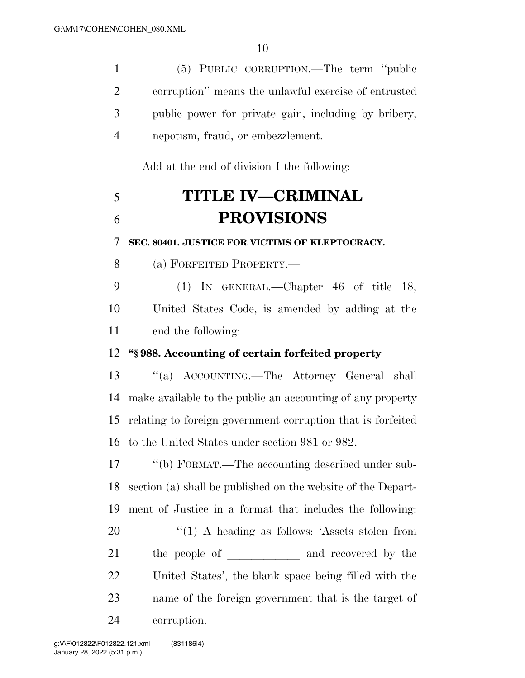(5) PUBLIC CORRUPTION.—The term ''public

| $\overline{2}$ | corruption" means the unlawful exercise of entrusted         |
|----------------|--------------------------------------------------------------|
| 3              | public power for private gain, including by bribery,         |
| $\overline{4}$ | nepotism, fraud, or embezzlement.                            |
|                | Add at the end of division I the following:                  |
| 5              | <b>TITLE IV-CRIMINAL</b>                                     |
| 6              | <b>PROVISIONS</b>                                            |
| 7              | SEC. 80401. JUSTICE FOR VICTIMS OF KLEPTOCRACY.              |
| 8              | (a) FORFEITED PROPERTY.—                                     |
| 9              | (1) IN GENERAL.—Chapter $46$ of title 18,                    |
| 10             | United States Code, is amended by adding at the              |
| 11             | end the following:                                           |
| 12             | "§988. Accounting of certain forfeited property              |
| 13             | "(a) ACCOUNTING.—The Attorney General shall                  |
| 14             | make available to the public an accounting of any property   |
| 15             | relating to foreign government corruption that is forfeited  |
|                | 16 to the United States under section 981 or 982.            |
| 17             | "(b) FORMAT.—The accounting described under sub-             |
| 18             | section (a) shall be published on the website of the Depart- |
| 19             | ment of Justice in a format that includes the following:     |
| 20             | $\lq(1)$ A heading as follows: 'Assets stolen from           |
| 21             | the people of ___________ and recovered by the               |
| 22             | United States', the blank space being filled with the        |
| 23             | name of the foreign government that is the target of         |
| 24             | corruption.                                                  |
|                |                                                              |